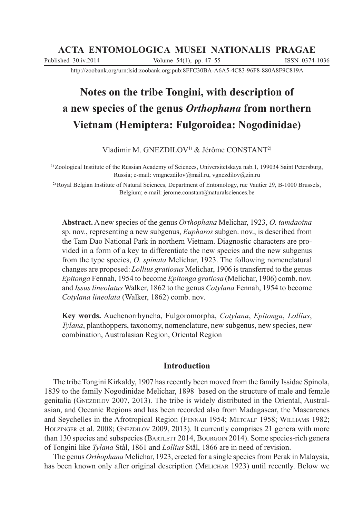# **ACTA ENTOMOLOGICA MUSEI NATIONALIS PRAGAE**

Published 30.iv.2014 Volume 54(1), pp. 47–55 ISSN 0374-1036

http://zoobank.org/urn:lsid:zoobank.org:pub:8FFC30BA-A6A5-4C83-96F8-880A8F9C819A

# **Notes on the tribe Tongini, with description of a new species of the genus** *Orthophana* **from northern Vietnam (Hemiptera: Fulgoroidea: Nogodinidae)**

Vladimir M. GNEZDILOV<sup>1)</sup> & Jérôme CONSTANT<sup>2)</sup>

1) Zoological Institute of the Russian Academy of Sciences, Universitetskaya nab.1, 199034 Saint Petersburg, Russia; e-mail: vmgnezdilov@mail.ru, vgnezdilov@zin.ru

2) Royal Belgian Institute of Natural Sciences, Department of Entomology, rue Vautier 29, B-1000 Brussels, Belgium; e-mail: jerome.constant@naturalsciences.be

**Abstract.** A new species of the genus *Orthophana* Melichar, 1923, *O. tamdaoina*  sp. nov., representing a new subgenus, *Eupharos* subgen. nov., is described from the Tam Dao National Park in northern Vietnam. Diagnostic characters are provided in a form of a key to differentiate the new species and the new subgenus from the type species, *O. spinata* Melichar, 1923. The following nomenclatural changes are proposed: *Lollius gratiosus* Melichar, 1906 is transferred to the genus *Epitonga* Fennah, 1954 to become *Epitonga gratiosa* (Melichar, 1906) comb. nov. and *Issus lineolatus* Walker, 1862 to the genus *Cotylana* Fennah, 1954 to become *Cotylana lineolata* (Walker, 1862) comb. nov.

**Key words.** Auchenorrhyncha, Fulgoromorpha, *Cotylana*, *Epitonga*, *Lollius*, *Tylana*, planthoppers, taxonomy, nomenclature, new subgenus, new species, new combination, Australasian Region, Oriental Region

## **Introduction**

The tribe Tongini Kirkaldy, 1907 has recently been moved from the family Issidae Spinola, 1839 to the family Nogodinidae Melichar, 1898 based on the structure of male and female genitalia (GNEZDILOV 2007, 2013). The tribe is widely distributed in the Oriental, Australasian, and Oceanic Regions and has been recorded also from Madagascar, the Mascarenes and Seychelles in the Afrotropical Region (FENNAH 1954; METCALF 1958; WILLIAMS 1982; HOLZINGER et al. 2008; GNEZDILOV 2009, 2013). It currently comprises 21 genera with more than 130 species and subspecies (BARTLETT 2014, BOURGOIN 2014). Some species-rich genera of Tongini like *Tylana* Stål, 1861 and *Lollius* Stål, 1866 are in need of revision.

The genus *Orthophana* Melichar, 1923, erected for a single species from Perak in Malaysia, has been known only after original description (MELICHAR 1923) until recently. Below we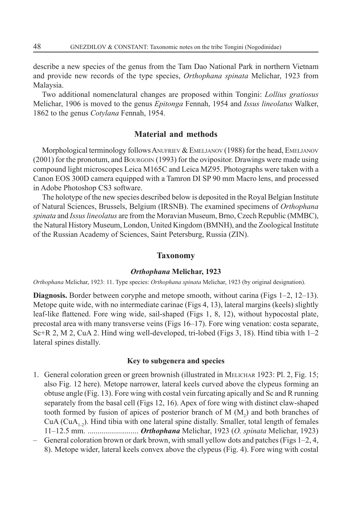describe a new species of the genus from the Tam Dao National Park in northern Vietnam and provide new records of the type species, *Orthophana spinata* Melichar, 1923 from Malaysia.

Two additional nomenclatural changes are proposed within Tongini: *Lollius gratiosus* Melichar, 1906 is moved to the genus *Epitonga* Fennah, 1954 and *Issus lineolatus* Walker, 1862 to the genus *Cotylana* Fennah, 1954.

#### **Material and methods**

Morphological terminology follows ANUFRIEV & EMELJANOV (1988) for the head, EMELJANOV (2001) for the pronotum, and BOURGOIN (1993) for the ovipositor. Drawings were made using compound light microscopes Leica M165C and Leica MZ95. Photographs were taken with a Canon EOS 300D camera equipped with a Tamron DI SP 90 mm Macro lens, and processed in Adobe Photoshop CS3 software.

The holotype of the new species described below is deposited in the Royal Belgian Institute of Natural Sciences, Brussels, Belgium (IRSNB). The examined specimens of *Orthophana spinata* and *Issus lineolatus* are from the Moravian Museum, Brno, Czech Republic (MMBC), the Natural History Museum, London, United Kingdom (BMNH), and the Zoological Institute of the Russian Academy of Sciences, Saint Petersburg, Russia (ZIN).

#### **Taxonomy**

#### *Orthophana* **Melichar, 1923**

*Orthophana* Melichar, 1923: 11. Type species: *Orthophana spinata* Melichar, 1923 (by original designation).

**Diagnosis.** Border between coryphe and metope smooth, without carina (Figs 1–2, 12–13). Metope quite wide, with no intermediate carinae (Figs 4, 13), lateral margins (keels) slightly leaf-like flattened. Fore wing wide, sail-shaped (Figs 1, 8, 12), without hypocostal plate, precostal area with many transverse veins (Figs 16–17). Fore wing venation: costa separate, Sc+R 2, M 2, CuA 2. Hind wing well-developed, tri-lobed (Figs 3, 18). Hind tibia with 1–2 lateral spines distally.

#### **Key to subgenera and species**

- 1. General coloration green or green brownish (illustrated in MELICHAR 1923: Pl. 2, Fig. 15; also Fig. 12 here). Metope narrower, lateral keels curved above the clypeus forming an obtuse angle (Fig. 13). Fore wing with costal vein furcating apically and Sc and R running separately from the basal cell (Figs 12, 16). Apex of fore wing with distinct claw-shaped tooth formed by fusion of apices of posterior branch of  $M(M_2)$  and both branches of  $CuA$  ( $CuA$ <sub>,  $\Omega$ </sub>). Hind tibia with one lateral spine distally. Smaller, total length of females 11–12.5 mm. .......................... *Orthophana* Melichar, 1923 (*O. spinata* Melichar, 1923)
- General coloration brown or dark brown, with small yellow dots and patches (Figs 1–2, 4, 8). Metope wider, lateral keels convex above the clypeus (Fig. 4). Fore wing with costal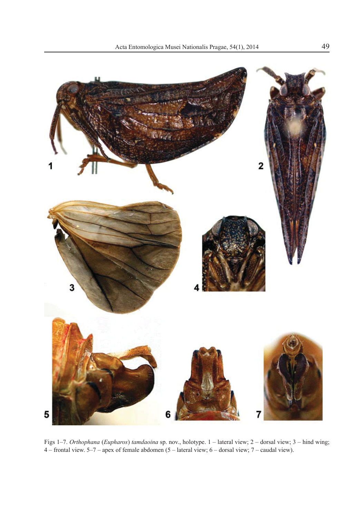

Figs 1–7. *Orthophana* (*Eupharos*) *tamdaoina* sp. nov., holotype. 1 – lateral view; 2 – dorsal view; 3 – hind wing; 4 – frontal view. 5–7 – apex of female abdomen (5 – lateral view; 6 – dorsal view; 7 – caudal view).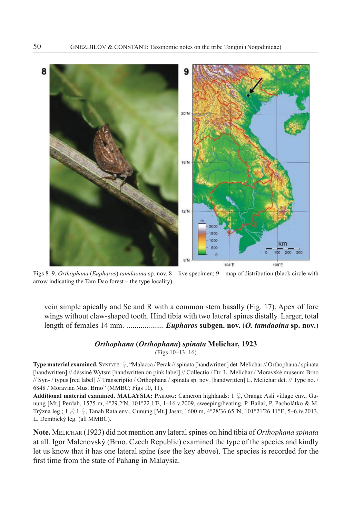

Figs 8–9. *Orthophana* (*Eupharos*) *tamdaoina* sp. nov. 8 – live specimen; 9 – map of distribution (black circle with arrow indicating the Tam Dao forest – the type locality).

vein simple apically and Sc and R with a common stem basally (Fig. 17). Apex of fore wings without claw-shaped tooth. Hind tibia with two lateral spines distally. Larger, total length of females 14 mm. ................... *Eupharos* **subgen. nov.** (*O. tamdaoina* **sp. nov.**)

# *Orthophana* **(***Orthophana***)** *spinata* **Melichar, 1923**

(Figs 10–13, 16)

**Type material examined.** SYNTYPE:  $\Omega$ , "Malacca / Perak // spinata [handwritten] det. Melichar // Orthophana / spinata [handwritten] // déssiné Wytsm [handwritten on pink label] // Collectio / Dr. L. Melichar / Moravské museum Brno // Syn- / typus [red label] // Transcriptio / Orthophana / spinata sp. nov. [handwritten] L. Melichar det. // Type no. / 6848 / Moravian Mus. Brno" (MMBC; Figs 10, 11).

Additional material examined. MALAYSIA: Ранамс: Cameron highlands: 1  $\Omega$ , Orange Asli village env., Gunung [Mt.] Perdah, 1575 m, 4°29.2′N, 101°22.1′E, 1-16.v.2009, sweeping/beating, P. Baňař, P. Pacholátko & M. Trýzna leg.;  $1 \nless 1 \nless 1$ , Tanah Rata env., Gunung [Mt.] Jasar, 1600 m, 4°28′36.65″N, 101°21′26.11″E, 5–6.iv.2013, L. Dembický leg. (all MMBC).

**Note.** MELICHAR (1923) did not mention any lateral spines on hind tibia of *Orthophana spinata*  at all. Igor Malenovský (Brno, Czech Republic) examined the type of the species and kindly let us know that it has one lateral spine (see the key above). The species is recorded for the first time from the state of Pahang in Malaysia.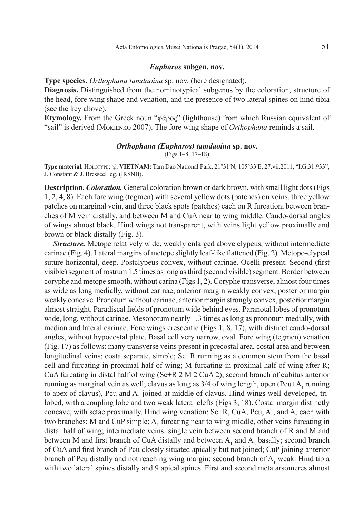#### *Eupharos* **subgen. nov.**

**Type species.** *Orthophana tamdaoina* sp. nov. (here designated).

**Diagnosis.** Distinguished from the nominotypical subgenus by the coloration, structure of the head, fore wing shape and venation, and the presence of two lateral spines on hind tibia (see the key above).

**Etymology.** From the Greek noun " $\phi$ άρος" (lighthouse) from which Russian equivalent of "sail" is derived (MOKIENKO 2007). The fore wing shape of *Orthophana* reminds a sail.

#### *Orthophana (Eupharos) tamdaoina* **sp. nov.**

(Figs 1–8, 17–18)

**Type material.** HOLOTYPE:  $\Omega$ , **VIETNAM:** Tam Dao National Park, 21°31′N, 105°33′E, 27.vii.2011, "I.G.31.933", J. Constant & J. Bresseel leg. (IRSNB).

**Description.** *Coloration.* General coloration brown or dark brown, with small light dots (Figs 1, 2, 4, 8). Each fore wing (tegmen) with several yellow dots (patches) on veins, three yellow patches on marginal vein, and three black spots (patches) each on R furcation, between branches of M vein distally, and between M and CuA near to wing middle. Caudo-dorsal angles of wings almost black. Hind wings not transparent, with veins light yellow proximally and brown or black distally (Fig. 3).

*Structure.* Metope relatively wide, weakly enlarged above clypeus, without intermediate carinae (Fig. 4). Lateral margins of metope slightly leaf-like flattened (Fig. 2). Metopo-clypeal suture horizontal, deep. Postclypeus convex, without carinae. Ocelli present. Second (first visible) segment of rostrum 1.5 times as long as third (second visible) segment. Border between coryphe and metope smooth, without carina (Figs 1, 2). Coryphe transverse, almost four times as wide as long medially, without carinae, anterior margin weakly convex, posterior margin weakly concave. Pronotum without carinae, anterior margin strongly convex, posterior margin almost straight. Paradiscal fields of pronotum wide behind eyes. Paranotal lobes of pronotum wide, long, without carinae. Mesonotum nearly 1.3 times as long as pronotum medially, with median and lateral carinae. Fore wings crescentic (Figs 1, 8, 17), with distinct caudo-dorsal angles, without hypocostal plate. Basal cell very narrow, oval. Fore wing (tegmen) venation (Fig. 17) as follows: many transverse veins present in precostal area, costal area and between longitudinal veins; costa separate, simple; Sc+R running as a common stem from the basal cell and furcating in proximal half of wing; M furcating in proximal half of wing after R; CuA furcating in distal half of wing (Sc+R 2 M 2 CuA 2); second branch of cubitus anterior running as marginal vein as well; clavus as long as  $3/4$  of wing length, open  $(Pcu+A<sub>1</sub>$  running to apex of clavus), Pcu and  $A<sub>1</sub>$  joined at middle of clavus. Hind wings well-developed, trilobed, with a coupling lobe and two weak lateral clefts (Figs 3, 18). Costal margin distinctly concave, with setae proximally. Hind wing venation:  $Sc+R$ , CuA, Pcu, A<sub>1</sub>, and A<sub>2</sub> each with two branches; M and CuP simple;  $A_1$  furcating near to wing middle, other veins furcating in distal half of wing; intermediate veins: single vein between second branch of R and M and between M and first branch of CuA distally and between  $A_1$  and  $A_2$  basally; second branch of CuA and first branch of Pcu closely situated apically but not joined; CuP joining anterior branch of Pcu distally and not reaching wing margin; second branch of  $A_1$  weak. Hind tibia with two lateral spines distally and 9 apical spines. First and second metatarsomeres almost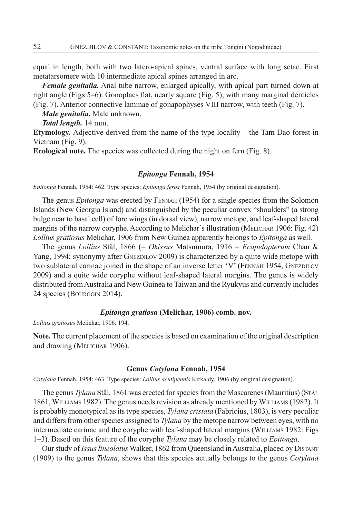equal in length, both with two latero-apical spines, ventral surface with long setae. First metatarsomere with 10 intermediate apical spines arranged in arc.

*Female genitalia.* Anal tube narrow, enlarged apically, with apical part turned down at right angle (Figs  $5-6$ ). Gonoplacs flat, nearly square (Fig. 5), with many marginal denticles (Fig. 7). Anterior connective laminae of gonapophyses VIII narrow, with teeth (Fig. 7).

*Male genitalia***.** Male unknown.

*Total length.* 14 mm.

**Etymology.** Adjective derived from the name of the type locality – the Tam Dao forest in Vietnam (Fig. 9).

**Ecological note.** The species was collected during the night on fern (Fig. 8).

#### *Epitonga* **Fennah, 1954**

*Epitonga* Fennah, 1954: 462. Type species: *Epitonga ferox* Fennah, 1954 (by original designation).

The genus *Epitonga* was erected by FENNAH (1954) for a single species from the Solomon Islands (New Georgia Island) and distinguished by the peculiar convex "shoulders" (a strong bulge near to basal cell) of fore wings (in dorsal view), narrow metope, and leaf-shaped lateral margins of the narrow coryphe. According to Melichar's illustration (MELICHAR 1906: Fig. 42) *Lollius gratiosus* Melichar, 1906 from New Guinea apparently belongs to *Epitonga* as well.

The genus *Lollius* Stål, 1866 (= *Okissus* Matsumura, 1916 = *Ecapelopterum* Chan & Yang, 1994; synonymy after GNEZDILOV 2009) is characterized by a quite wide metope with two sublateral carinae joined in the shape of an inverse letter 'V' (FENNAH 1954, GNEZDILOV 2009) and a quite wide coryphe without leaf-shaped lateral margins. The genus is widely distributed from Australia and New Guinea to Taiwan and the Ryukyus and currently includes 24 species (BOURGOIN 2014).

### *Epitonga gratiosa* **(Melichar, 1906) comb. nov.**

*Lollius gratiosus* Melichar, 1906: 194.

**Note.** The current placement of the species is based on examination of the original description and drawing (MELICHAR 1906).

#### **Genus** *Cotylana* **Fennah, 1954**

*Cotylana* Fennah, 1954: 463. Type species: *Lollius acutipennis* Kirkaldy, 1906 (by original designation).

The genus *Tylana* Stål, 1861 was erected for species from the Mascarenes (Mauritius) (STÅL 1861, WILLIAMS 1982). The genus needs revision as already mentioned by WILLIAMS (1982). It is probably monotypical as its type species, *Tylana cristata* (Fabricius, 1803), is very peculiar and differs from other species assigned to *Tylana* by the metope narrow between eyes, with no intermediate carinae and the coryphe with leaf-shaped lateral margins (WILLIAMS 1982: Figs 1–3). Based on this feature of the coryphe *Tylana* may be closely related to *Epitonga*.

Our study of *Issus lineolatus* Walker, 1862 from Queensland in Australia, placed by DISTANT (1909) to the genus *Tylana*, shows that this species actually belongs to the genus *Cotylana*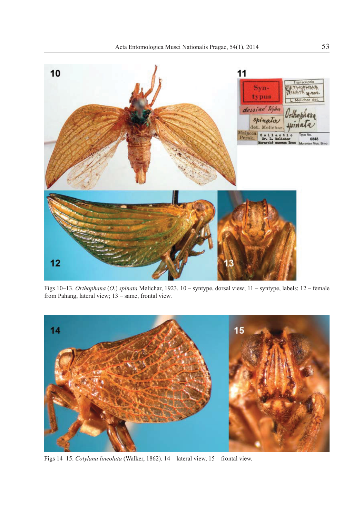

Figs 10–13. *Orthophana* (*O.*) *spinata* Melichar, 1923. 10 – syntype, dorsal view; 11 – syntype, labels; 12 – female from Pahang, lateral view; 13 – same, frontal view.



Figs 14–15. *Cotylana lineolata* (Walker, 1862). 14 – lateral view, 15 – frontal view.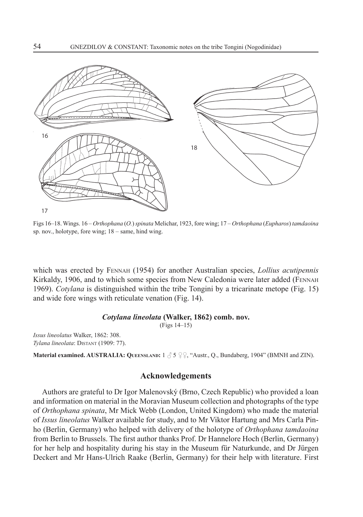

Figs 16–18. Wings. 16 – *Orthophana* (*O.*) *spinata* Melichar, 1923, fore wing; 17 – *Orthophana* (*Eupharos*) *tamdaoina* sp. nov., holotype, fore wing; 18 – same, hind wing.

which was erected by FENNAH (1954) for another Australian species, *Lollius acutipennis*  Kirkaldy, 1906, and to which some species from New Caledonia were later added (FENNAH 1969). *Cotylana* is distinguished within the tribe Tongini by a tricarinate metope (Fig. 15) and wide fore wings with reticulate venation (Fig. 14).

#### *Cotylana lineolata* **(Walker, 1862) comb. nov.**

(Figs 14–15)

*Issus lineolatus* Walker, 1862: 308. *Tylana lineolata*: DISTANT (1909: 77).

**Material examined. AUSTRALIA: QUEENSLAND:**  $1 \text{ } \textcircled{5} \text{ } \textcircled{2} \text{ } \textcircled{4}$ , "Austr., Q., Bundaberg, 1904" (BMNH and ZIN).

## **Acknowledgements**

Authors are grateful to Dr Igor Malenovský (Brno, Czech Republic) who provided a loan and information on material in the Moravian Museum collection and photographs of the type of *Orthophana spinata*, Mr Mick Webb (London, United Kingdom) who made the material of *Issus lineolatus* Walker available for study, and to Mr Viktor Hartung and Mrs Carla Pinho (Berlin, Germany) who helped with delivery of the holotype of *Orthophana tamdaoina* from Berlin to Brussels. The first author thanks Prof. Dr Hannelore Hoch (Berlin, Germany) for her help and hospitality during his stay in the Museum für Naturkunde, and Dr Jürgen Deckert and Mr Hans-Ulrich Raake (Berlin, Germany) for their help with literature. First